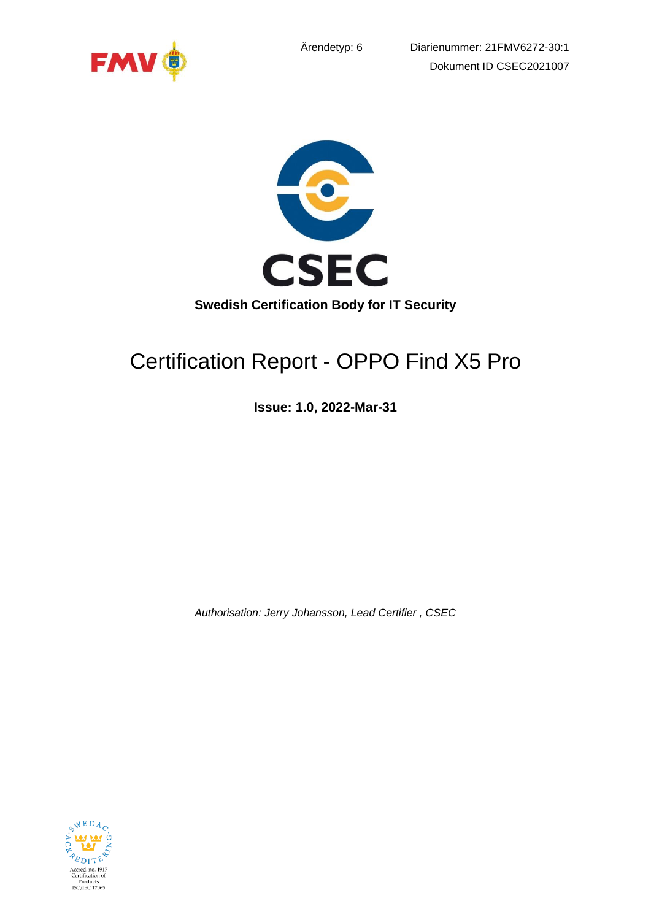





# Certification Report - OPPO Find X5 Pro

**Issue: 1.0, 2022-Mar-31**

*Authorisation: Jerry Johansson, Lead Certifier , CSEC*

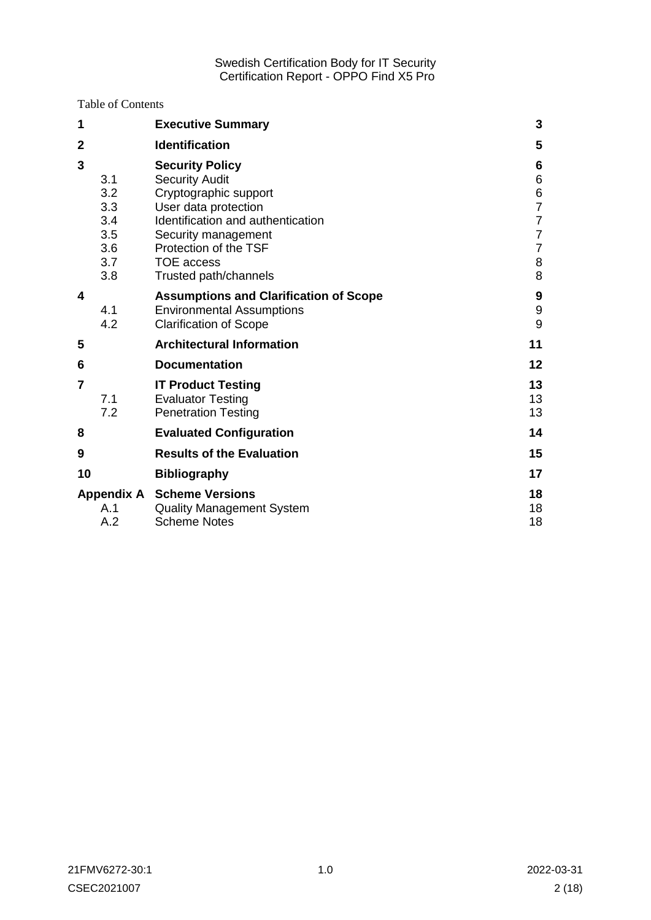Table of Contents

| 1                                                         | <b>Executive Summary</b>                                                                                                                                                                                                            | 3                                                                                             |
|-----------------------------------------------------------|-------------------------------------------------------------------------------------------------------------------------------------------------------------------------------------------------------------------------------------|-----------------------------------------------------------------------------------------------|
| $\overline{2}$                                            | <b>Identification</b>                                                                                                                                                                                                               | 5                                                                                             |
| 3<br>3.1<br>3.2<br>3.3<br>3.4<br>3.5<br>3.6<br>3.7<br>3.8 | <b>Security Policy</b><br><b>Security Audit</b><br>Cryptographic support<br>User data protection<br>Identification and authentication<br>Security management<br>Protection of the TSF<br><b>TOE</b> access<br>Trusted path/channels | 6<br>6<br>6<br>$\overline{7}$<br>$\overline{7}$<br>$\overline{7}$<br>$\overline{7}$<br>8<br>8 |
| 4<br>4.1<br>4.2                                           | <b>Assumptions and Clarification of Scope</b><br><b>Environmental Assumptions</b><br><b>Clarification of Scope</b>                                                                                                                  | 9<br>$\boldsymbol{9}$<br>9                                                                    |
| 5                                                         | <b>Architectural Information</b>                                                                                                                                                                                                    | 11                                                                                            |
| 6                                                         | <b>Documentation</b>                                                                                                                                                                                                                | 12                                                                                            |
| $\overline{7}$<br>7.1<br>7.2                              | <b>IT Product Testing</b><br><b>Evaluator Testing</b><br><b>Penetration Testing</b>                                                                                                                                                 | 13<br>13<br>13                                                                                |
| 8                                                         | <b>Evaluated Configuration</b>                                                                                                                                                                                                      | 14                                                                                            |
| 9                                                         | <b>Results of the Evaluation</b>                                                                                                                                                                                                    | 15                                                                                            |
| 10                                                        | <b>Bibliography</b>                                                                                                                                                                                                                 | 17                                                                                            |
| A.1<br>A.2                                                | <b>Appendix A Scheme Versions</b><br><b>Quality Management System</b><br><b>Scheme Notes</b>                                                                                                                                        | 18<br>18<br>18                                                                                |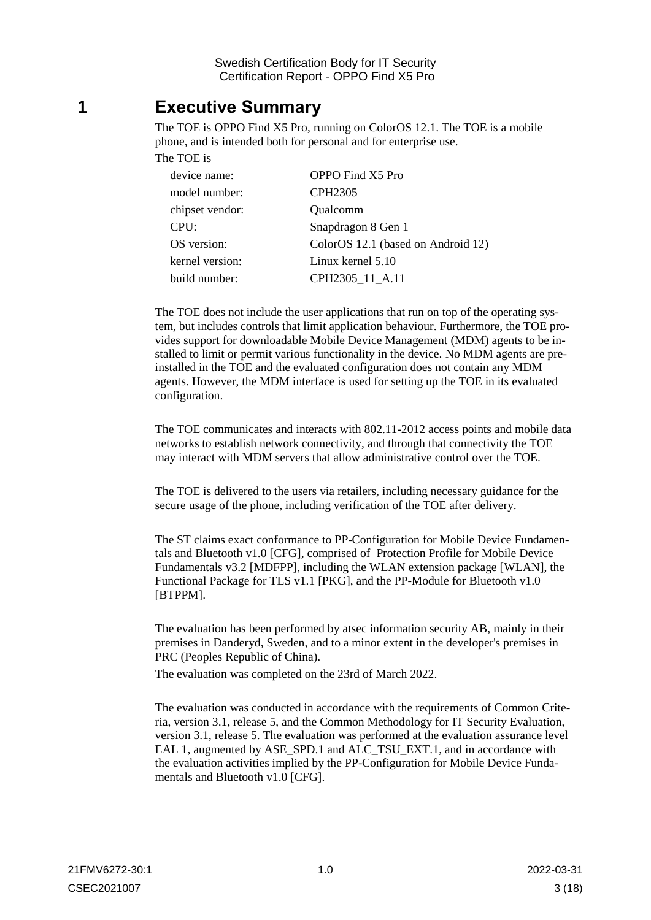## <span id="page-2-0"></span>**1 Executive Summary**

The TOE is OPPO Find X5 Pro, running on ColorOS 12.1. The TOE is a mobile phone, and is intended both for personal and for enterprise use. The TOE is

| device name:    | OPPO Find X5 Pro                   |
|-----------------|------------------------------------|
| model number:   | CPH <sub>2305</sub>                |
| chipset vendor: | Qualcomm                           |
| CPU:            | Snapdragon 8 Gen 1                 |
| OS version:     | ColorOS 12.1 (based on Android 12) |
| kernel version: | Linux kernel 5.10                  |
| build number:   | CPH2305 11 A.11                    |

The TOE does not include the user applications that run on top of the operating system, but includes controls that limit application behaviour. Furthermore, the TOE provides support for downloadable Mobile Device Management (MDM) agents to be installed to limit or permit various functionality in the device. No MDM agents are preinstalled in the TOE and the evaluated configuration does not contain any MDM agents. However, the MDM interface is used for setting up the TOE in its evaluated configuration.

The TOE communicates and interacts with 802.11-2012 access points and mobile data networks to establish network connectivity, and through that connectivity the TOE may interact with MDM servers that allow administrative control over the TOE.

The TOE is delivered to the users via retailers, including necessary guidance for the secure usage of the phone, including verification of the TOE after delivery.

The ST claims exact conformance to PP-Configuration for Mobile Device Fundamentals and Bluetooth v1.0 [CFG], comprised of Protection Profile for Mobile Device Fundamentals v3.2 [MDFPP], including the WLAN extension package [WLAN], the Functional Package for TLS v1.1 [PKG], and the PP-Module for Bluetooth v1.0 [BTPPM].

The evaluation has been performed by atsec information security AB, mainly in their premises in Danderyd, Sweden, and to a minor extent in the developer's premises in PRC (Peoples Republic of China).

The evaluation was completed on the 23rd of March 2022.

The evaluation was conducted in accordance with the requirements of Common Criteria, version 3.1, release 5, and the Common Methodology for IT Security Evaluation, version 3.1, release 5. The evaluation was performed at the evaluation assurance level EAL 1, augmented by ASE\_SPD.1 and ALC\_TSU\_EXT.1, and in accordance with the evaluation activities implied by the PP-Configuration for Mobile Device Fundamentals and Bluetooth v1.0 [CFG].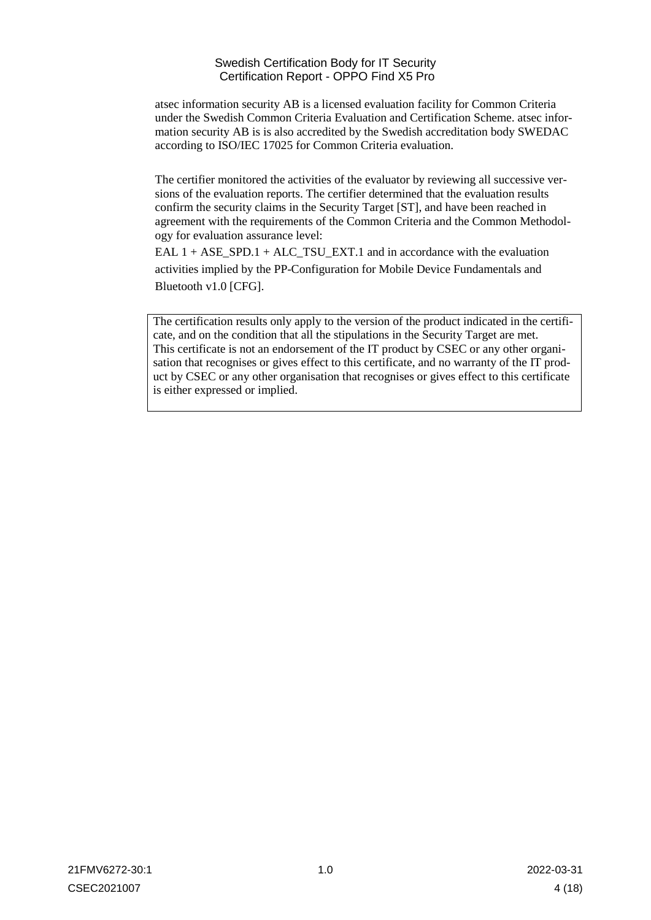atsec information security AB is a licensed evaluation facility for Common Criteria under the Swedish Common Criteria Evaluation and Certification Scheme. atsec information security AB is is also accredited by the Swedish accreditation body SWEDAC according to ISO/IEC 17025 for Common Criteria evaluation.

The certifier monitored the activities of the evaluator by reviewing all successive versions of the evaluation reports. The certifier determined that the evaluation results confirm the security claims in the Security Target [ST], and have been reached in agreement with the requirements of the Common Criteria and the Common Methodology for evaluation assurance level:

EAL 1 + ASE\_SPD.1 + ALC\_TSU\_EXT.1 and in accordance with the evaluation activities implied by the PP-Configuration for Mobile Device Fundamentals and Bluetooth v1.0 [CFG].

The certification results only apply to the version of the product indicated in the certificate, and on the condition that all the stipulations in the Security Target are met. This certificate is not an endorsement of the IT product by CSEC or any other organisation that recognises or gives effect to this certificate, and no warranty of the IT product by CSEC or any other organisation that recognises or gives effect to this certificate is either expressed or implied.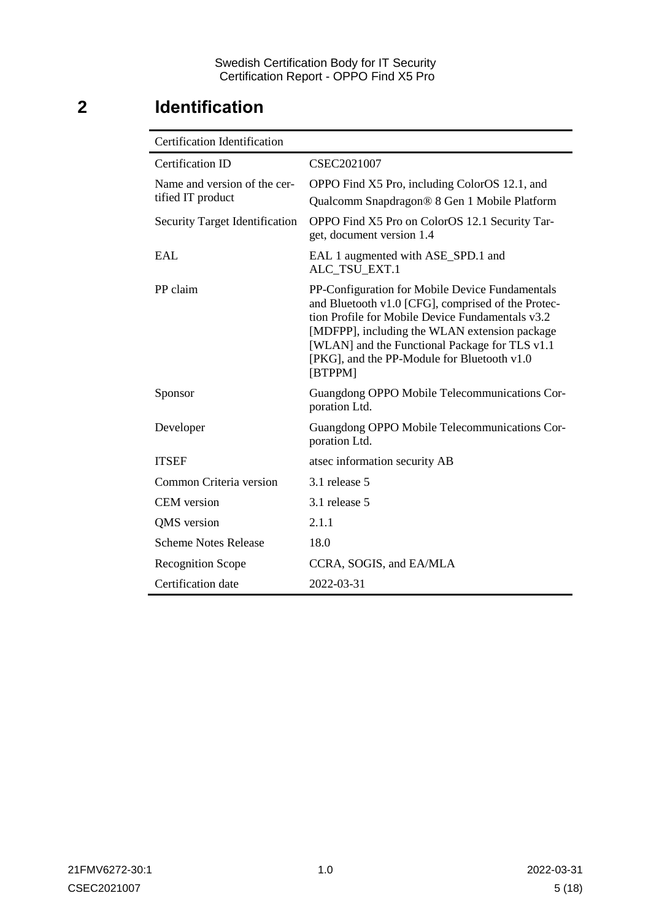## <span id="page-4-0"></span>**2 Identification**

| <b>Certification Identification</b>               |                                                                                                                                                                                                                                                                                                                        |
|---------------------------------------------------|------------------------------------------------------------------------------------------------------------------------------------------------------------------------------------------------------------------------------------------------------------------------------------------------------------------------|
| Certification ID                                  | CSEC2021007                                                                                                                                                                                                                                                                                                            |
| Name and version of the cer-<br>tified IT product | OPPO Find X5 Pro, including ColorOS 12.1, and<br>Qualcomm Snapdragon® 8 Gen 1 Mobile Platform                                                                                                                                                                                                                          |
| <b>Security Target Identification</b>             | OPPO Find X5 Pro on ColorOS 12.1 Security Tar-<br>get, document version 1.4                                                                                                                                                                                                                                            |
| <b>EAL</b>                                        | EAL 1 augmented with ASE_SPD.1 and<br>ALC_TSU_EXT.1                                                                                                                                                                                                                                                                    |
| PP claim                                          | PP-Configuration for Mobile Device Fundamentals<br>and Bluetooth v1.0 [CFG], comprised of the Protec-<br>tion Profile for Mobile Device Fundamentals v3.2<br>[MDFPP], including the WLAN extension package<br>[WLAN] and the Functional Package for TLS v1.1<br>[PKG], and the PP-Module for Bluetooth v1.0<br>[BTPPM] |
| Sponsor                                           | Guangdong OPPO Mobile Telecommunications Cor-<br>poration Ltd.                                                                                                                                                                                                                                                         |
| Developer                                         | Guangdong OPPO Mobile Telecommunications Cor-<br>poration Ltd.                                                                                                                                                                                                                                                         |
| <b>ITSEF</b>                                      | atsec information security AB                                                                                                                                                                                                                                                                                          |
| Common Criteria version                           | 3.1 release 5                                                                                                                                                                                                                                                                                                          |
| <b>CEM</b> version                                | 3.1 release 5                                                                                                                                                                                                                                                                                                          |
| QMS version                                       | 2.1.1                                                                                                                                                                                                                                                                                                                  |
| <b>Scheme Notes Release</b>                       | 18.0                                                                                                                                                                                                                                                                                                                   |
| <b>Recognition Scope</b>                          | CCRA, SOGIS, and EA/MLA                                                                                                                                                                                                                                                                                                |
| Certification date                                | 2022-03-31                                                                                                                                                                                                                                                                                                             |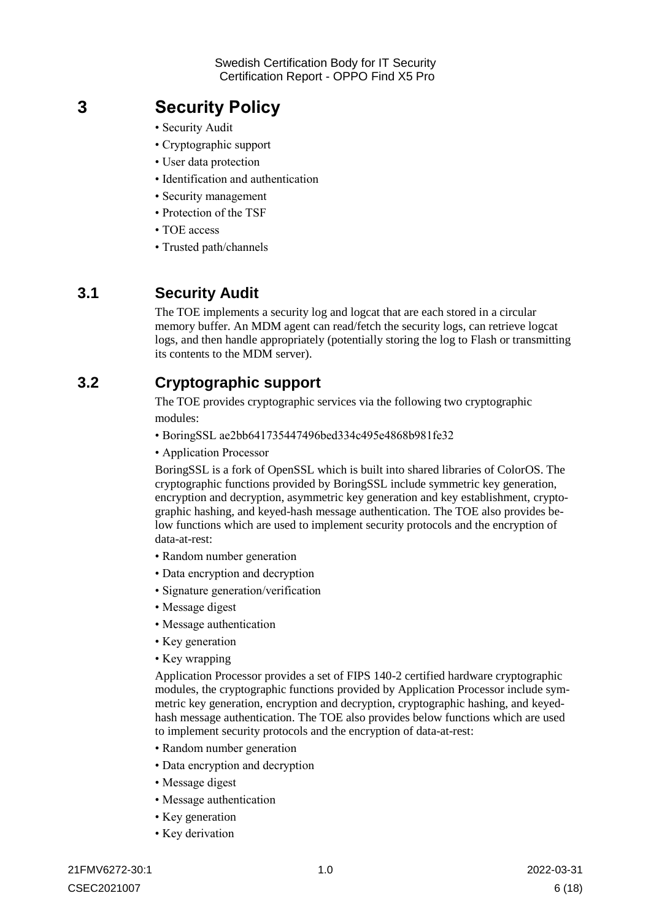## <span id="page-5-0"></span>**3 Security Policy**

- Security Audit
- Cryptographic support
- User data protection
- Identification and authentication
- Security management
- Protection of the TSF
- TOE access
- Trusted path/channels

### <span id="page-5-1"></span>**3.1 Security Audit**

The TOE implements a security log and logcat that are each stored in a circular memory buffer. An MDM agent can read/fetch the security logs, can retrieve logcat logs, and then handle appropriately (potentially storing the log to Flash or transmitting its contents to the MDM server).

### <span id="page-5-2"></span>**3.2 Cryptographic support**

The TOE provides cryptographic services via the following two cryptographic modules:

- BoringSSL ae2bb641735447496bed334c495e4868b981fe32
- Application Processor

BoringSSL is a fork of OpenSSL which is built into shared libraries of ColorOS. The cryptographic functions provided by BoringSSL include symmetric key generation, encryption and decryption, asymmetric key generation and key establishment, cryptographic hashing, and keyed-hash message authentication. The TOE also provides below functions which are used to implement security protocols and the encryption of data-at-rest:

- Random number generation
- Data encryption and decryption
- Signature generation/verification
- Message digest
- Message authentication
- Key generation
- Key wrapping

Application Processor provides a set of FIPS 140-2 certified hardware cryptographic modules, the cryptographic functions provided by Application Processor include symmetric key generation, encryption and decryption, cryptographic hashing, and keyedhash message authentication. The TOE also provides below functions which are used to implement security protocols and the encryption of data-at-rest:

- Random number generation
- Data encryption and decryption
- Message digest
- Message authentication
- Key generation
- Key derivation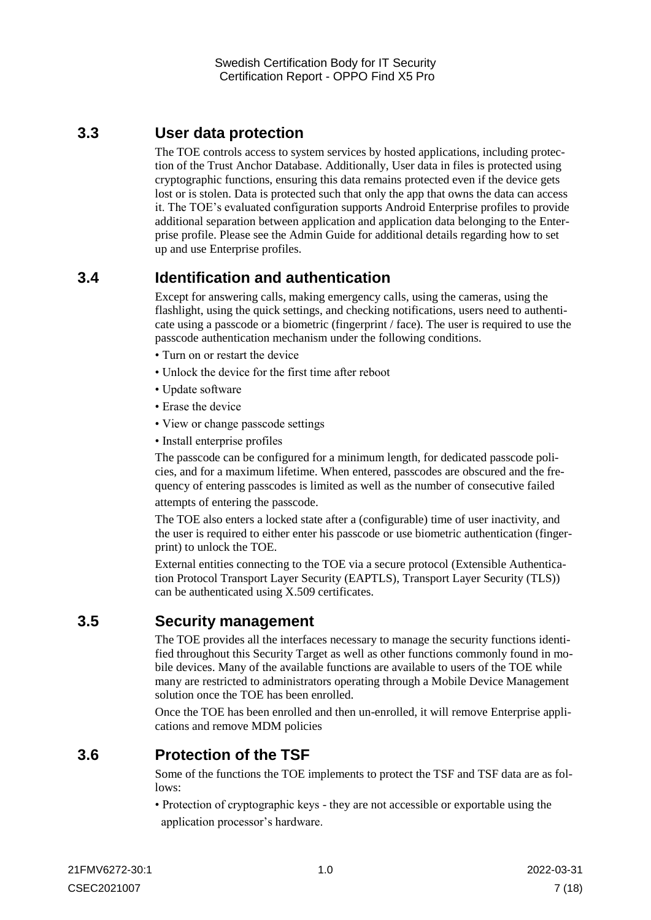## <span id="page-6-0"></span>**3.3 User data protection**

The TOE controls access to system services by hosted applications, including protection of the Trust Anchor Database. Additionally, User data in files is protected using cryptographic functions, ensuring this data remains protected even if the device gets lost or is stolen. Data is protected such that only the app that owns the data can access it. The TOE's evaluated configuration supports Android Enterprise profiles to provide additional separation between application and application data belonging to the Enterprise profile. Please see the Admin Guide for additional details regarding how to set up and use Enterprise profiles.

## <span id="page-6-1"></span>**3.4 Identification and authentication**

Except for answering calls, making emergency calls, using the cameras, using the flashlight, using the quick settings, and checking notifications, users need to authenticate using a passcode or a biometric (fingerprint / face). The user is required to use the passcode authentication mechanism under the following conditions.

- Turn on or restart the device
- Unlock the device for the first time after reboot
- Update software
- Erase the device
- View or change passcode settings
- Install enterprise profiles

The passcode can be configured for a minimum length, for dedicated passcode policies, and for a maximum lifetime. When entered, passcodes are obscured and the frequency of entering passcodes is limited as well as the number of consecutive failed

attempts of entering the passcode.

The TOE also enters a locked state after a (configurable) time of user inactivity, and the user is required to either enter his passcode or use biometric authentication (fingerprint) to unlock the TOE.

External entities connecting to the TOE via a secure protocol (Extensible Authentication Protocol Transport Layer Security (EAPTLS), Transport Layer Security (TLS)) can be authenticated using X.509 certificates.

### <span id="page-6-2"></span>**3.5 Security management**

The TOE provides all the interfaces necessary to manage the security functions identified throughout this Security Target as well as other functions commonly found in mobile devices. Many of the available functions are available to users of the TOE while many are restricted to administrators operating through a Mobile Device Management solution once the TOE has been enrolled.

Once the TOE has been enrolled and then un-enrolled, it will remove Enterprise applications and remove MDM policies

## <span id="page-6-3"></span>**3.6 Protection of the TSF**

Some of the functions the TOE implements to protect the TSF and TSF data are as follows:

• Protection of cryptographic keys - they are not accessible or exportable using the application processor's hardware.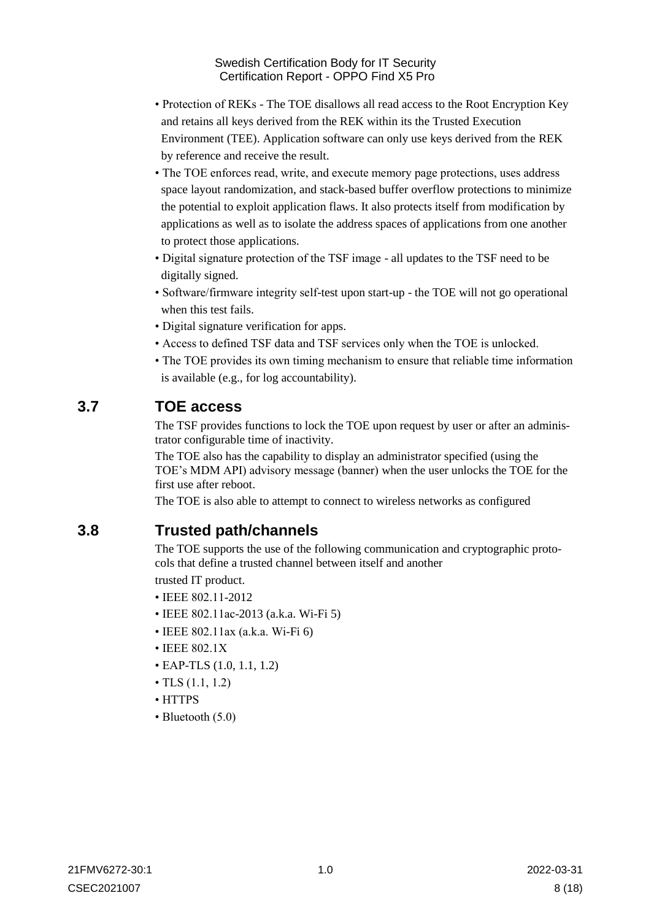- Protection of REKs The TOE disallows all read access to the Root Encryption Key and retains all keys derived from the REK within its the Trusted Execution Environment (TEE). Application software can only use keys derived from the REK by reference and receive the result.
- The TOE enforces read, write, and execute memory page protections, uses address space layout randomization, and stack-based buffer overflow protections to minimize the potential to exploit application flaws. It also protects itself from modification by applications as well as to isolate the address spaces of applications from one another to protect those applications.
- Digital signature protection of the TSF image all updates to the TSF need to be digitally signed.
- Software/firmware integrity self-test upon start-up the TOE will not go operational when this test fails.
- Digital signature verification for apps.
- Access to defined TSF data and TSF services only when the TOE is unlocked.
- The TOE provides its own timing mechanism to ensure that reliable time information is available (e.g., for log accountability).

### <span id="page-7-0"></span>**3.7 TOE access**

The TSF provides functions to lock the TOE upon request by user or after an administrator configurable time of inactivity.

The TOE also has the capability to display an administrator specified (using the TOE's MDM API) advisory message (banner) when the user unlocks the TOE for the first use after reboot.

The TOE is also able to attempt to connect to wireless networks as configured

### <span id="page-7-1"></span>**3.8 Trusted path/channels**

The TOE supports the use of the following communication and cryptographic protocols that define a trusted channel between itself and another

trusted IT product.

- IEEE 802.11-2012
- IEEE 802.11ac-2013 (a.k.a. Wi-Fi 5)
- IEEE 802.11ax (a.k.a. Wi-Fi 6)
- IEEE 802.1X
- EAP-TLS (1.0, 1.1, 1.2)
- TLS  $(1.1, 1.2)$
- HTTPS
- Bluetooth (5.0)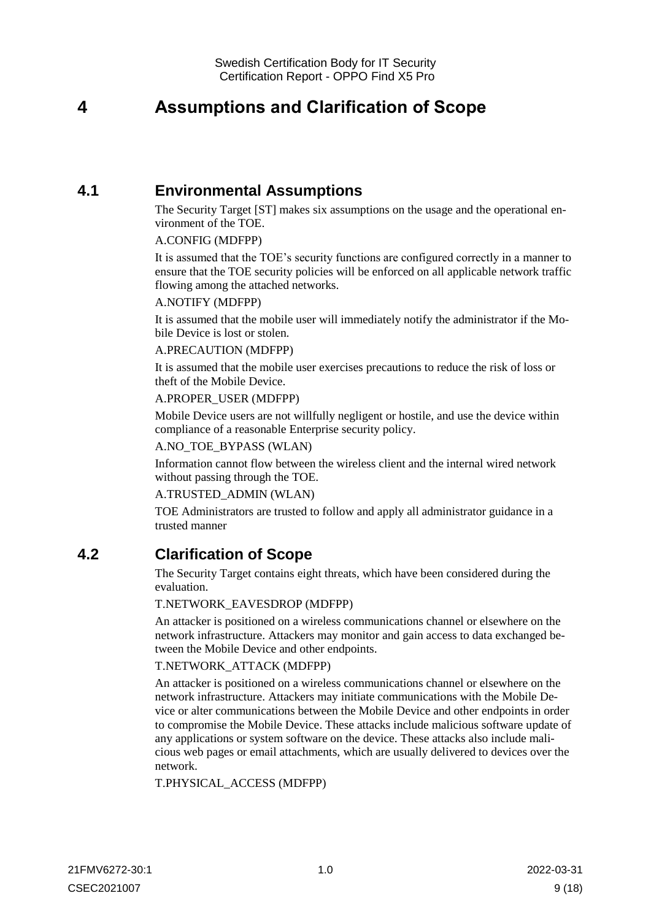## <span id="page-8-0"></span>**4 Assumptions and Clarification of Scope**

### <span id="page-8-1"></span>**4.1 Environmental Assumptions**

The Security Target [ST] makes six assumptions on the usage and the operational environment of the TOE.

#### A.CONFIG (MDFPP)

It is assumed that the TOE's security functions are configured correctly in a manner to ensure that the TOE security policies will be enforced on all applicable network traffic flowing among the attached networks.

#### A.NOTIFY (MDFPP)

It is assumed that the mobile user will immediately notify the administrator if the Mobile Device is lost or stolen.

#### A.PRECAUTION (MDFPP)

It is assumed that the mobile user exercises precautions to reduce the risk of loss or theft of the Mobile Device.

#### A.PROPER\_USER (MDFPP)

Mobile Device users are not willfully negligent or hostile, and use the device within compliance of a reasonable Enterprise security policy.

#### A.NO\_TOE\_BYPASS (WLAN)

Information cannot flow between the wireless client and the internal wired network without passing through the TOE.

#### A.TRUSTED\_ADMIN (WLAN)

TOE Administrators are trusted to follow and apply all administrator guidance in a trusted manner

### <span id="page-8-2"></span>**4.2 Clarification of Scope**

The Security Target contains eight threats, which have been considered during the evaluation.

#### T.NETWORK\_EAVESDROP (MDFPP)

An attacker is positioned on a wireless communications channel or elsewhere on the network infrastructure. Attackers may monitor and gain access to data exchanged between the Mobile Device and other endpoints.

#### T.NETWORK\_ATTACK (MDFPP)

An attacker is positioned on a wireless communications channel or elsewhere on the network infrastructure. Attackers may initiate communications with the Mobile Device or alter communications between the Mobile Device and other endpoints in order to compromise the Mobile Device. These attacks include malicious software update of any applications or system software on the device. These attacks also include malicious web pages or email attachments, which are usually delivered to devices over the network.

T.PHYSICAL\_ACCESS (MDFPP)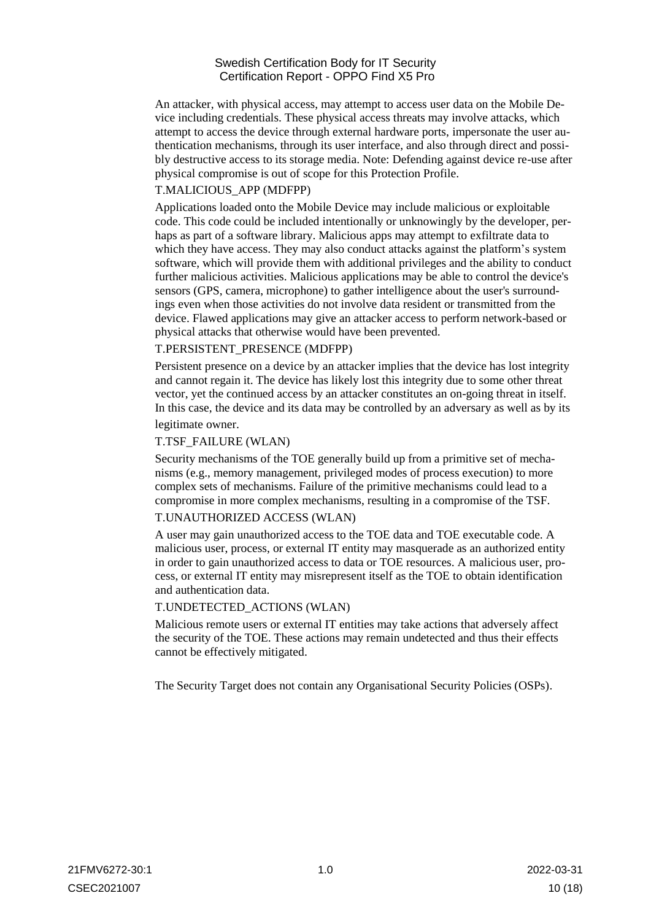An attacker, with physical access, may attempt to access user data on the Mobile Device including credentials. These physical access threats may involve attacks, which attempt to access the device through external hardware ports, impersonate the user authentication mechanisms, through its user interface, and also through direct and possibly destructive access to its storage media. Note: Defending against device re-use after physical compromise is out of scope for this Protection Profile.

#### T.MALICIOUS\_APP (MDFPP)

Applications loaded onto the Mobile Device may include malicious or exploitable code. This code could be included intentionally or unknowingly by the developer, perhaps as part of a software library. Malicious apps may attempt to exfiltrate data to which they have access. They may also conduct attacks against the platform's system software, which will provide them with additional privileges and the ability to conduct further malicious activities. Malicious applications may be able to control the device's sensors (GPS, camera, microphone) to gather intelligence about the user's surroundings even when those activities do not involve data resident or transmitted from the device. Flawed applications may give an attacker access to perform network-based or physical attacks that otherwise would have been prevented.

#### T.PERSISTENT\_PRESENCE (MDFPP)

Persistent presence on a device by an attacker implies that the device has lost integrity and cannot regain it. The device has likely lost this integrity due to some other threat vector, yet the continued access by an attacker constitutes an on-going threat in itself. In this case, the device and its data may be controlled by an adversary as well as by its legitimate owner.

#### T.TSF\_FAILURE (WLAN)

Security mechanisms of the TOE generally build up from a primitive set of mechanisms (e.g., memory management, privileged modes of process execution) to more complex sets of mechanisms. Failure of the primitive mechanisms could lead to a compromise in more complex mechanisms, resulting in a compromise of the TSF.

#### T.UNAUTHORIZED ACCESS (WLAN)

A user may gain unauthorized access to the TOE data and TOE executable code. A malicious user, process, or external IT entity may masquerade as an authorized entity in order to gain unauthorized access to data or TOE resources. A malicious user, process, or external IT entity may misrepresent itself as the TOE to obtain identification and authentication data.

#### T.UNDETECTED\_ACTIONS (WLAN)

Malicious remote users or external IT entities may take actions that adversely affect the security of the TOE. These actions may remain undetected and thus their effects cannot be effectively mitigated.

The Security Target does not contain any Organisational Security Policies (OSPs).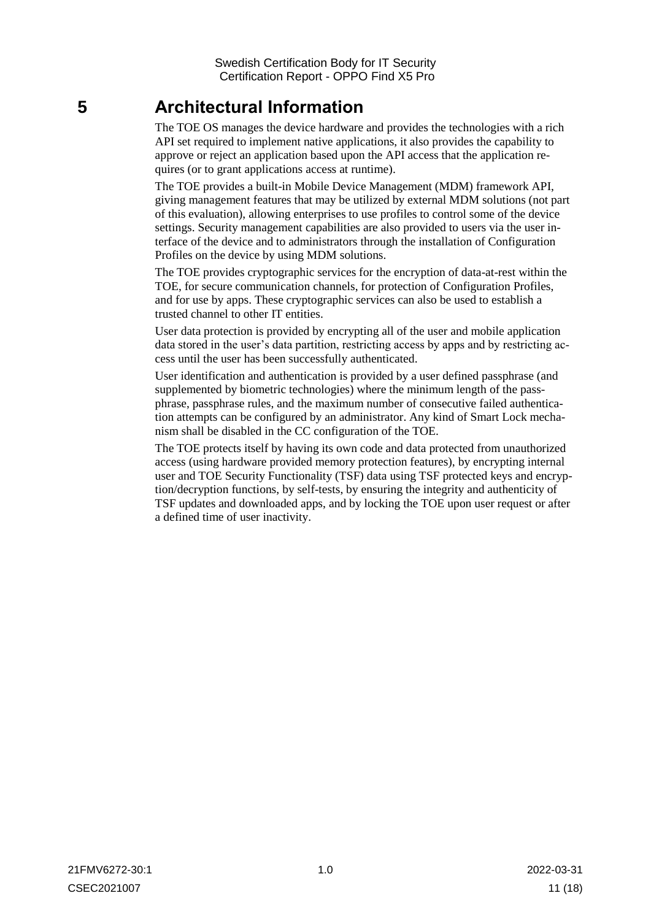## <span id="page-10-0"></span>**5 Architectural Information**

The TOE OS manages the device hardware and provides the technologies with a rich API set required to implement native applications, it also provides the capability to approve or reject an application based upon the API access that the application requires (or to grant applications access at runtime).

The TOE provides a built-in Mobile Device Management (MDM) framework API, giving management features that may be utilized by external MDM solutions (not part of this evaluation), allowing enterprises to use profiles to control some of the device settings. Security management capabilities are also provided to users via the user interface of the device and to administrators through the installation of Configuration Profiles on the device by using MDM solutions.

The TOE provides cryptographic services for the encryption of data-at-rest within the TOE, for secure communication channels, for protection of Configuration Profiles, and for use by apps. These cryptographic services can also be used to establish a trusted channel to other IT entities.

User data protection is provided by encrypting all of the user and mobile application data stored in the user's data partition, restricting access by apps and by restricting access until the user has been successfully authenticated.

User identification and authentication is provided by a user defined passphrase (and supplemented by biometric technologies) where the minimum length of the passphrase, passphrase rules, and the maximum number of consecutive failed authentication attempts can be configured by an administrator. Any kind of Smart Lock mechanism shall be disabled in the CC configuration of the TOE.

The TOE protects itself by having its own code and data protected from unauthorized access (using hardware provided memory protection features), by encrypting internal user and TOE Security Functionality (TSF) data using TSF protected keys and encryption/decryption functions, by self-tests, by ensuring the integrity and authenticity of TSF updates and downloaded apps, and by locking the TOE upon user request or after a defined time of user inactivity.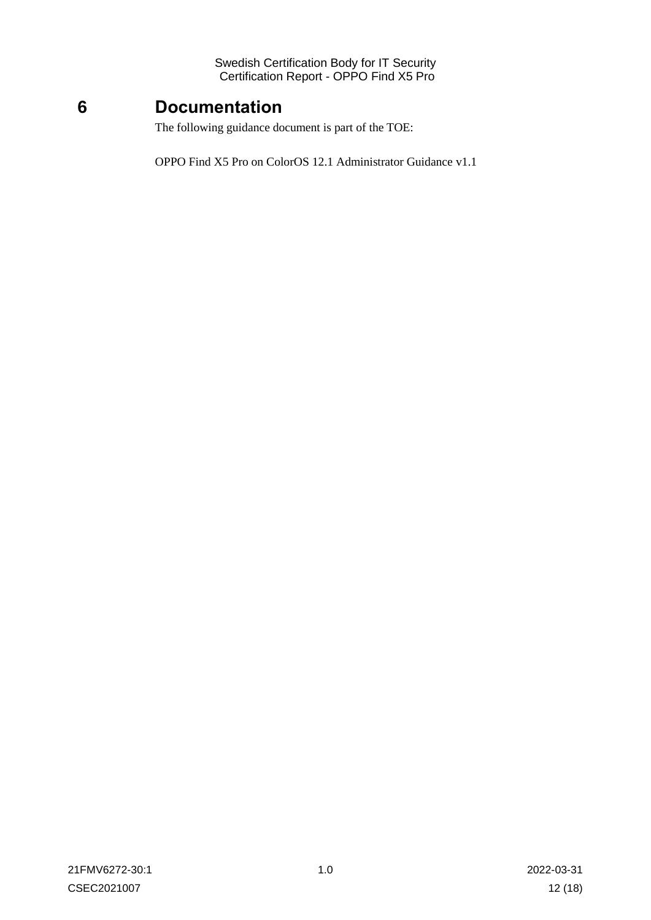## <span id="page-11-0"></span>**6 Documentation**

The following guidance document is part of the TOE:

OPPO Find X5 Pro on ColorOS 12.1 Administrator Guidance v1.1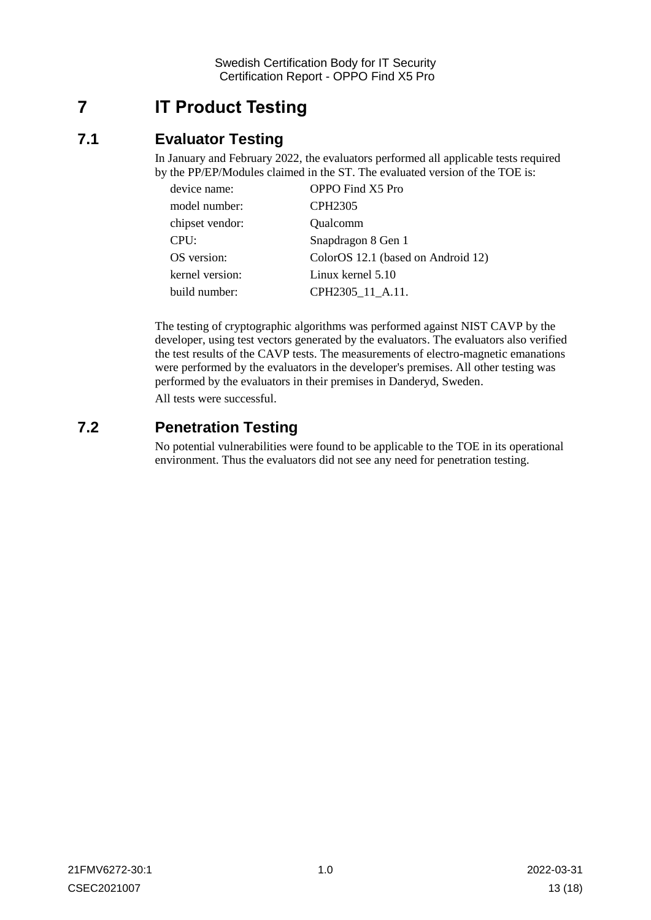## <span id="page-12-0"></span>**7 IT Product Testing**

## <span id="page-12-1"></span>**7.1 Evaluator Testing**

In January and February 2022, the evaluators performed all applicable tests required by the PP/EP/Modules claimed in the ST. The evaluated version of the TOE is:

| device name:    | OPPO Find X5 Pro                   |  |
|-----------------|------------------------------------|--|
| model number:   | CPH <sub>2305</sub>                |  |
| chipset vendor: | Qualcomm                           |  |
| CPU:            | Snapdragon 8 Gen 1                 |  |
| OS version:     | ColorOS 12.1 (based on Android 12) |  |
| kernel version: | Linux kernel 5.10                  |  |
| build number:   | CPH2305 11 A.11.                   |  |

The testing of cryptographic algorithms was performed against NIST CAVP by the developer, using test vectors generated by the evaluators. The evaluators also verified the test results of the CAVP tests. The measurements of electro-magnetic emanations were performed by the evaluators in the developer's premises. All other testing was performed by the evaluators in their premises in Danderyd, Sweden.

All tests were successful.

### <span id="page-12-2"></span>**7.2 Penetration Testing**

No potential vulnerabilities were found to be applicable to the TOE in its operational environment. Thus the evaluators did not see any need for penetration testing.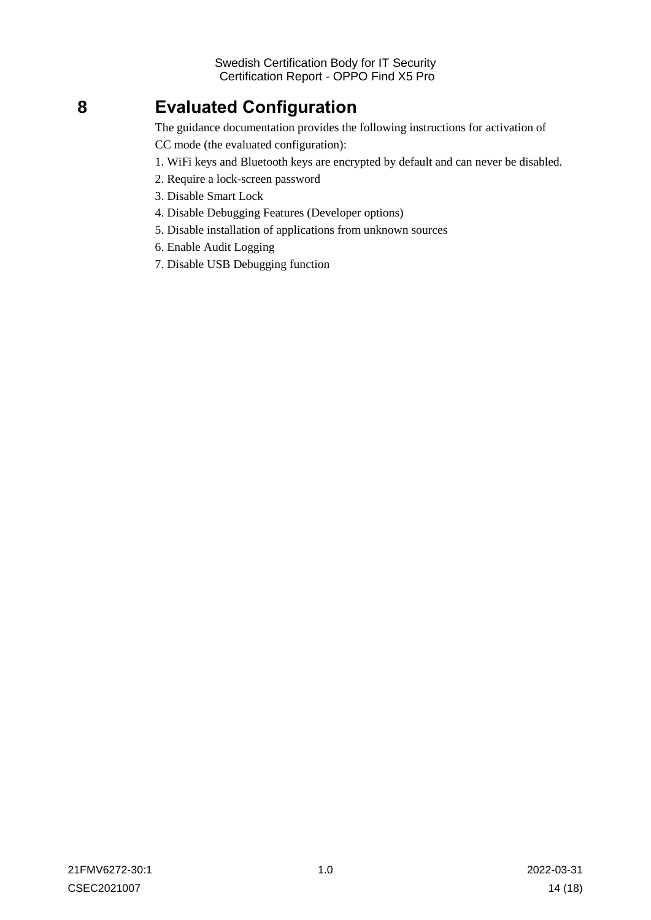## <span id="page-13-0"></span>**8 Evaluated Configuration**

The guidance documentation provides the following instructions for activation of

CC mode (the evaluated configuration):

- 1. WiFi keys and Bluetooth keys are encrypted by default and can never be disabled.
- 2. Require a lock-screen password
- 3. Disable Smart Lock
- 4. Disable Debugging Features (Developer options)
- 5. Disable installation of applications from unknown sources
- 6. Enable Audit Logging
- 7. Disable USB Debugging function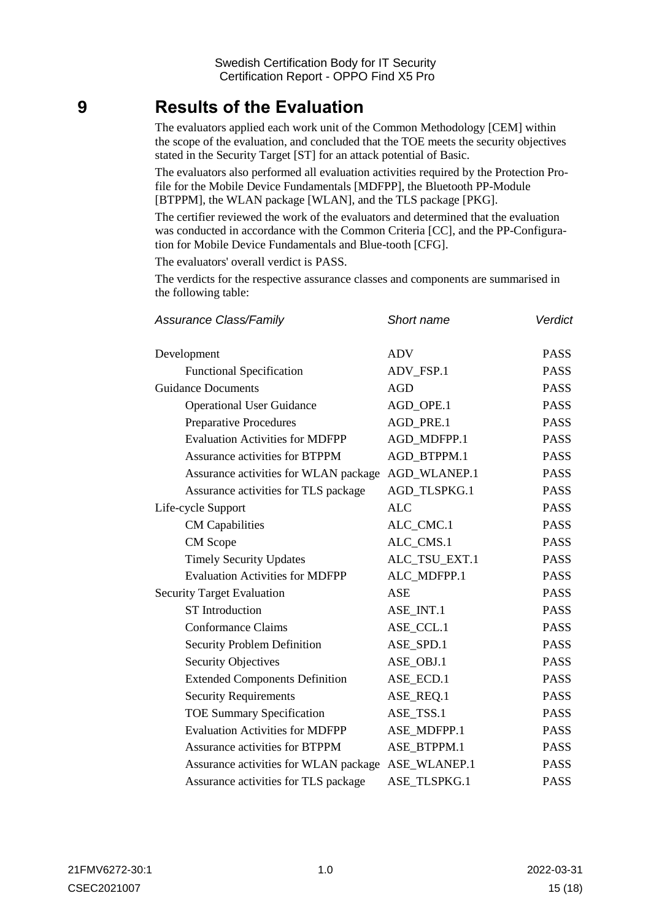## <span id="page-14-0"></span>**9 Results of the Evaluation**

The evaluators applied each work unit of the Common Methodology [CEM] within the scope of the evaluation, and concluded that the TOE meets the security objectives stated in the Security Target [ST] for an attack potential of Basic.

The evaluators also performed all evaluation activities required by the Protection Profile for the Mobile Device Fundamentals [MDFPP], the Bluetooth PP-Module [BTPPM], the WLAN package [WLAN], and the TLS package [PKG].

The certifier reviewed the work of the evaluators and determined that the evaluation was conducted in accordance with the Common Criteria [CC], and the PP-Configuration for Mobile Device Fundamentals and Blue-tooth [CFG].

The evaluators' overall verdict is PASS.

The verdicts for the respective assurance classes and components are summarised in the following table:

| <b>Assurance Class/Family</b>          | Short name    | Verdict     |
|----------------------------------------|---------------|-------------|
| Development                            | <b>ADV</b>    | <b>PASS</b> |
| <b>Functional Specification</b>        | ADV_FSP.1     | <b>PASS</b> |
| <b>Guidance Documents</b>              | <b>AGD</b>    | <b>PASS</b> |
| <b>Operational User Guidance</b>       | AGD_OPE.1     | <b>PASS</b> |
| <b>Preparative Procedures</b>          | AGD_PRE.1     | <b>PASS</b> |
| <b>Evaluation Activities for MDFPP</b> | AGD_MDFPP.1   | <b>PASS</b> |
| <b>Assurance activities for BTPPM</b>  | AGD BTPPM.1   | <b>PASS</b> |
| Assurance activities for WLAN package  | AGD_WLANEP.1  | <b>PASS</b> |
| Assurance activities for TLS package   | AGD_TLSPKG.1  | <b>PASS</b> |
| Life-cycle Support                     | <b>ALC</b>    | <b>PASS</b> |
| <b>CM</b> Capabilities                 | ALC_CMC.1     | <b>PASS</b> |
| CM Scope                               | ALC_CMS.1     | <b>PASS</b> |
| <b>Timely Security Updates</b>         | ALC_TSU_EXT.1 | <b>PASS</b> |
| <b>Evaluation Activities for MDFPP</b> | ALC_MDFPP.1   | <b>PASS</b> |
| <b>Security Target Evaluation</b>      | <b>ASE</b>    | <b>PASS</b> |
| <b>ST</b> Introduction                 | ASE_INT.1     | <b>PASS</b> |
| <b>Conformance Claims</b>              | ASE_CCL.1     | <b>PASS</b> |
| <b>Security Problem Definition</b>     | ASE_SPD.1     | <b>PASS</b> |
| <b>Security Objectives</b>             | ASE_OBJ.1     | <b>PASS</b> |
| <b>Extended Components Definition</b>  | ASE_ECD.1     | <b>PASS</b> |
| <b>Security Requirements</b>           | ASE_REQ.1     | <b>PASS</b> |
| <b>TOE Summary Specification</b>       | ASE_TSS.1     | <b>PASS</b> |
| <b>Evaluation Activities for MDFPP</b> | ASE_MDFPP.1   | <b>PASS</b> |
| <b>Assurance activities for BTPPM</b>  | ASE_BTPPM.1   | <b>PASS</b> |
| Assurance activities for WLAN package  | ASE_WLANEP.1  | <b>PASS</b> |
| Assurance activities for TLS package   | ASE TLSPKG.1  | <b>PASS</b> |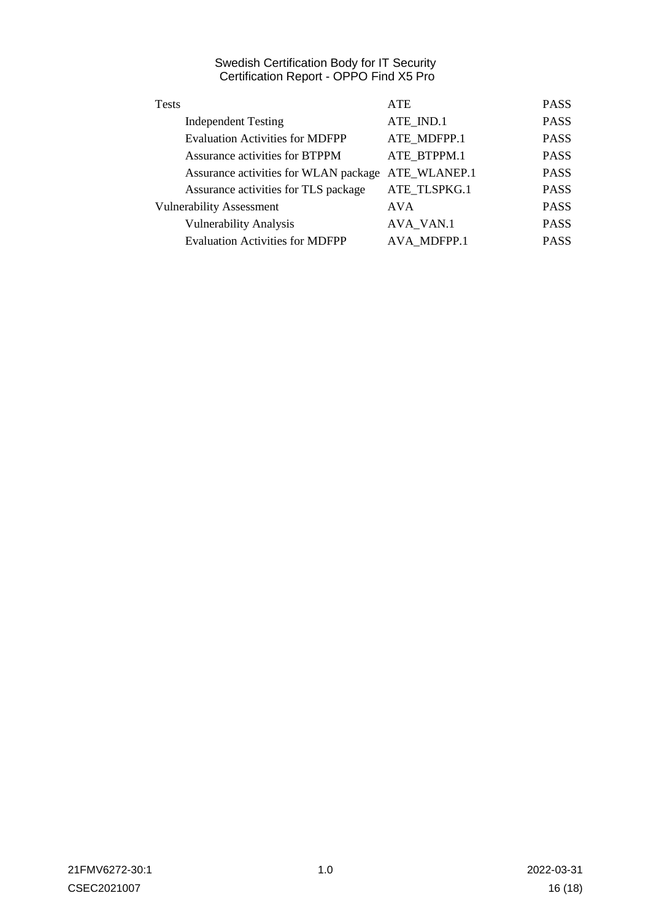| <b>Tests</b>                           | <b>ATE</b>   | <b>PASS</b> |
|----------------------------------------|--------------|-------------|
| <b>Independent Testing</b>             | ATE_IND.1    | <b>PASS</b> |
| <b>Evaluation Activities for MDFPP</b> | ATE MDFPP.1  | <b>PASS</b> |
| Assurance activities for BTPPM         | ATE BTPPM.1  | <b>PASS</b> |
| Assurance activities for WLAN package  | ATE_WLANEP.1 | <b>PASS</b> |
| Assurance activities for TLS package   | ATE TLSPKG.1 | <b>PASS</b> |
| <b>Vulnerability Assessment</b>        | <b>AVA</b>   | <b>PASS</b> |
| <b>Vulnerability Analysis</b>          | AVA_VAN.1    | <b>PASS</b> |
| <b>Evaluation Activities for MDFPP</b> | AVA MDFPP.1  | <b>PASS</b> |
|                                        |              |             |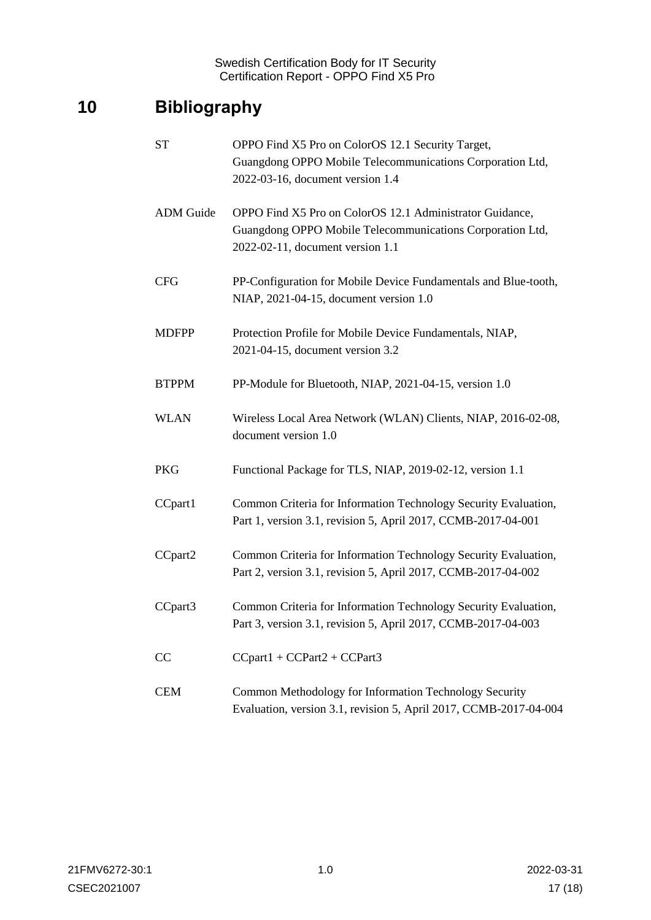## <span id="page-16-0"></span>**10 Bibliography**

| <b>ST</b>        | OPPO Find X5 Pro on ColorOS 12.1 Security Target,<br>Guangdong OPPO Mobile Telecommunications Corporation Ltd,<br>2022-03-16, document version 1.4        |
|------------------|-----------------------------------------------------------------------------------------------------------------------------------------------------------|
| <b>ADM</b> Guide | OPPO Find X5 Pro on ColorOS 12.1 Administrator Guidance,<br>Guangdong OPPO Mobile Telecommunications Corporation Ltd,<br>2022-02-11, document version 1.1 |
| <b>CFG</b>       | PP-Configuration for Mobile Device Fundamentals and Blue-tooth,<br>NIAP, 2021-04-15, document version 1.0                                                 |
| <b>MDFPP</b>     | Protection Profile for Mobile Device Fundamentals, NIAP,<br>2021-04-15, document version 3.2                                                              |
| <b>BTPPM</b>     | PP-Module for Bluetooth, NIAP, 2021-04-15, version 1.0                                                                                                    |
| <b>WLAN</b>      | Wireless Local Area Network (WLAN) Clients, NIAP, 2016-02-08,<br>document version 1.0                                                                     |
| PKG              | Functional Package for TLS, NIAP, 2019-02-12, version 1.1                                                                                                 |
| CCpart1          | Common Criteria for Information Technology Security Evaluation,<br>Part 1, version 3.1, revision 5, April 2017, CCMB-2017-04-001                          |
| CCpart2          | Common Criteria for Information Technology Security Evaluation,<br>Part 2, version 3.1, revision 5, April 2017, CCMB-2017-04-002                          |
| CCpart3          | Common Criteria for Information Technology Security Evaluation,<br>Part 3, version 3.1, revision 5, April 2017, CCMB-2017-04-003                          |
| CC               | $CCpart1 + CCPart2 + CCPart3$                                                                                                                             |
| <b>CEM</b>       | Common Methodology for Information Technology Security<br>Evaluation, version 3.1, revision 5, April 2017, CCMB-2017-04-004                               |